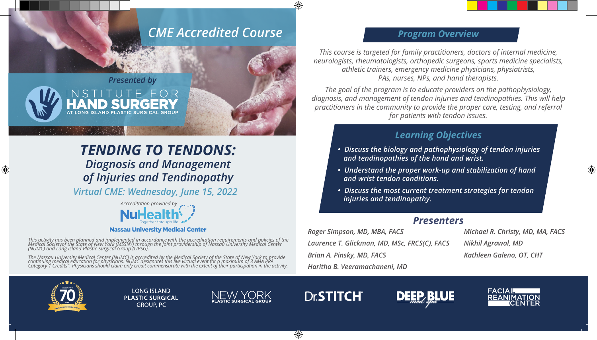# *CME Accredited Course*



# *TENDING TO TENDONS: Diagnosis and Management of Injuries and Tendinopathy*

*Virtual CME: Wednesday, June 15, 2022*



**Nassau University Medical Center** 

This activity has been planned and implemented in accordance with the accreditation requirements and policies of the<br>Medical Societyof the State of New York (MSSNY) through the joint providership of Nassau University Medic

The Nassau University Medical Center (NUMC) is accredited by the Medical Society of the State of New York to provide<br>continuing medical education for physicians. NUMC designates this live virtual event for a maximum of 3 A

## *Program Overview*

*This course is targeted for family practitioners, doctors of internal medicine, neurologists, rheumatologists, orthopedic surgeons, sports medicine specialists, athletic trainers, emergency medicine physicians, physiatrists, PAs, nurses, NPs, and hand therapists.*

*The goal of the program is to educate providers on the pathophysiology, diagnosis, and management of tendon injuries and tendinopathies. This will help practitioners in the community to provide the proper care, testing, and referral for patients with tendon issues.*

## *Learning Objectives*

- *Discuss the biology and pathophysiology of tendon injuries and tendinopathies of the hand and wrist.*
- *Understand the proper work-up and stabilization of hand and wrist tendon conditions.*
- *Discuss the most current treatment strategies for tendon injuries and tendinopathy.*

### *Presenters*

*Roger Simpson, MD, MBA, FACS Laurence T. Glickman, MD, MSc, FRCS(C), FACS Brian A. Pinsky, MD, FACS Haritha B. Veeramachaneni, MD*

*Michael R. Christy, MD, MA, FACS Nikhil Agrawal, MD Kathleen Galeno, OT, CHT*



⊕

**LONG ISLAND PLASTIC SURGICAL GROUP, PC** 



↔